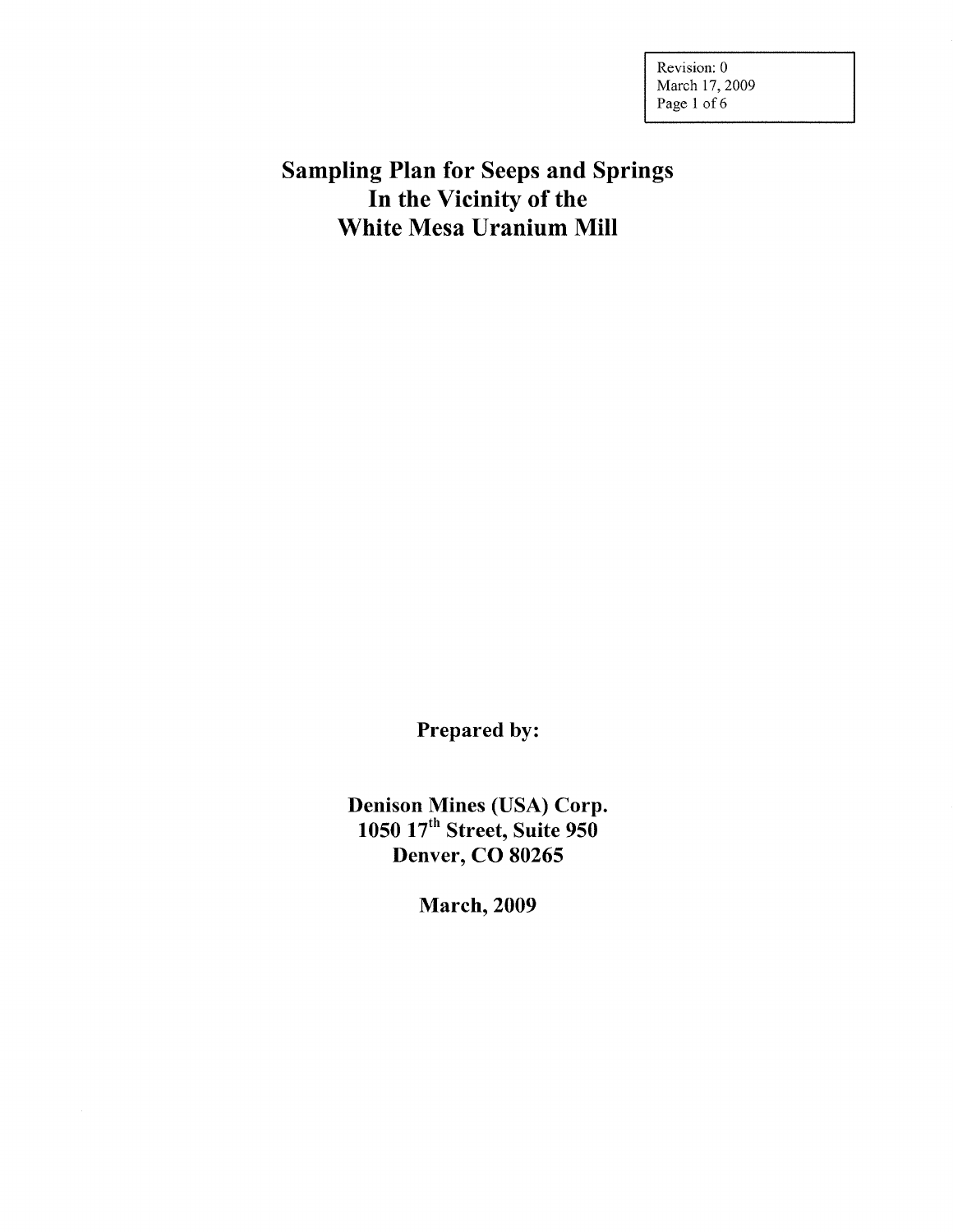Revision: 0 March 17, 2009 Page 1 of 6

# Sampling Plan for Seeps and Springs In the Vicinity of the White Mesa Uranium Mill

Prepared by:

Denison Mines (USA) Corp. 1050 17<sup>th</sup> Street, Suite 950 Denver, CO 80265

March,2009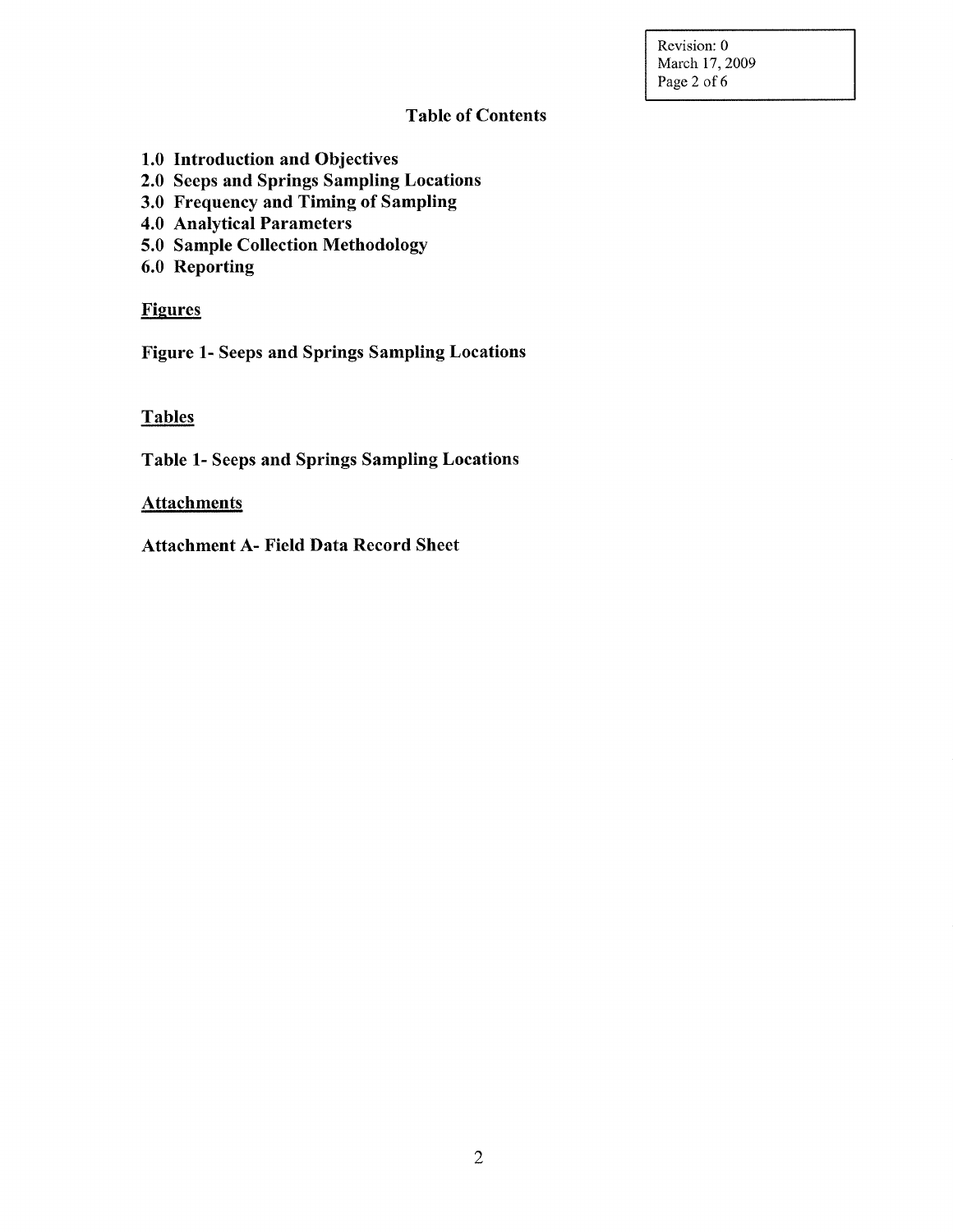Revision: 0 March 17, 2009 Page 2 of 6

## Table of Contents

- 1.0 Introduction and Objectives
- 2.0 Seeps and Springs Sampling Locations
- 3.0 Frequency and Timing of Sampling
- 4.0 Analytical Parameters
- 5.0 Sample Collection Methodology
- 6.0 Reporting

## **Figures**

Figure 1- Seeps and Springs Sampling Locations

## **Tables**

Table 1- Seeps and Springs Sampling Locations

## **Attachments**

Attachment A- Field Data Record Sheet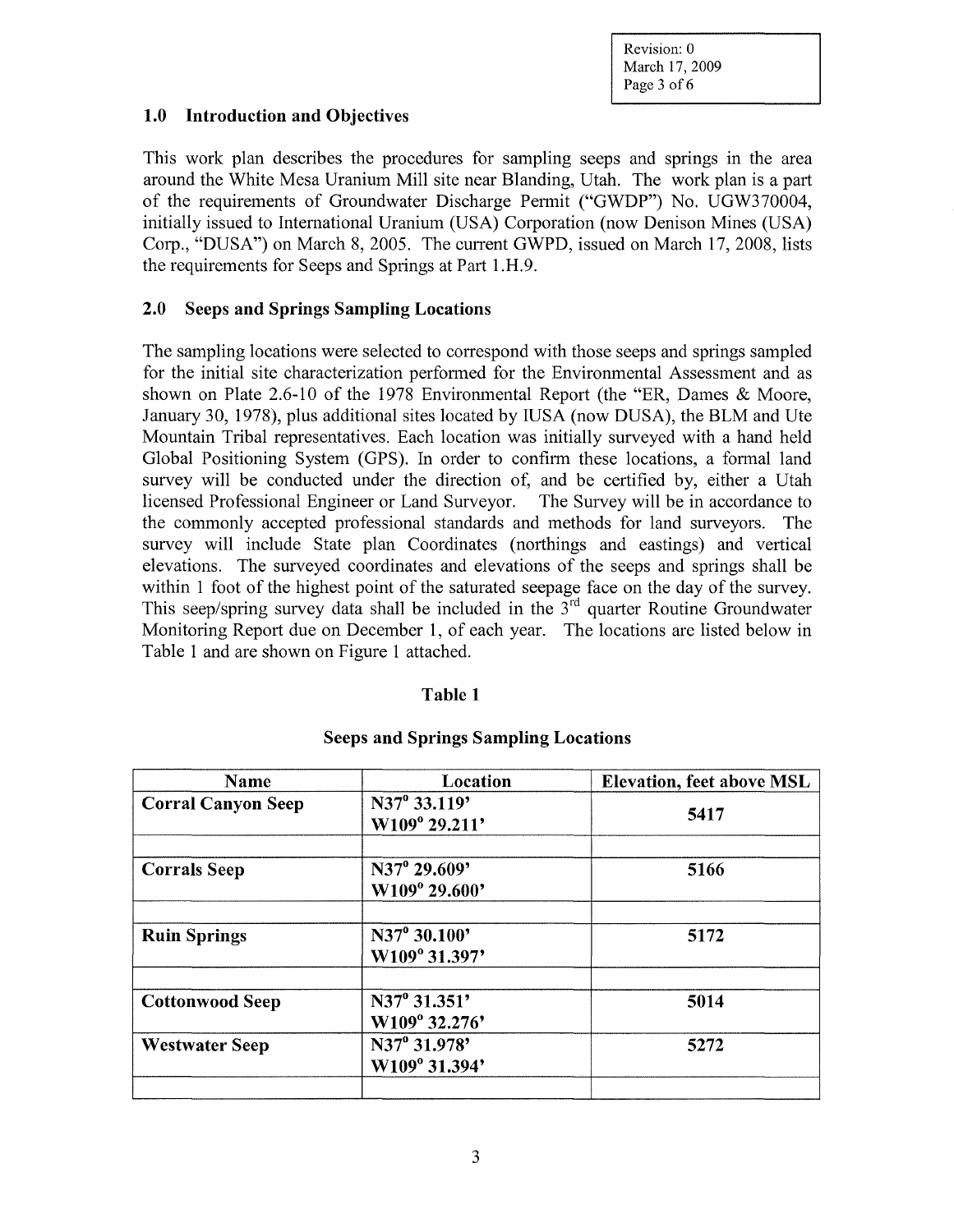Revision: 0 March 17, 2009 Page 3 of 6

#### **1.0 Introduction and Objectives**

This work plan describes the procedures for sampling seeps and springs in the area around the White Mesa Uranium Mill site near Blanding, Utah. The work plan is a part of the requirements of Groundwater Discharge Permit ("GWDP") No. UGW370004, initially issued to International Uranium (USA) Corporation (now Denison Mines (USA) Corp., "DUSA") on March 8, 2005. The current GWPD, issued on March 17, 2008, lists the requirements for Seeps and Springs at Part l.H.9.

### **2.0 Seeps and Springs Sampling Locations**

The sampling locations were selected to correspond with those seeps and springs sampled for the initial site characterization performed for the Environmental Assessment and as shown on Plate 2.6-10 of the 1978 Environmental Report (the "ER, Dames & Moore, January 30, 1978), plus additional sites located by IUSA (now DUSA), the BLM and Ute Mountain Tribal representatives. Each location was initially surveyed with a hand held Global Positioning System (GPS). In order to confirm these locations, a formal land survey will be conducted under the direction of, and be certified by, either a Utah licensed Professional Engineer or Land Surveyor. The Survey will be in accordance to the commonly accepted professional standards and methods for land surveyors. The survey will include State plan Coordinates (northings and eastings) and vertical elevations. The surveyed coordinates and elevations of the seeps and springs shall be within 1 foot of the highest point of the saturated seepage face on the day of the survey. This seep/spring survey data shall be included in the  $3<sup>rd</sup>$  quarter Routine Groundwater Monitoring Report due on December **1,** of each year. The locations are listed below in Table 1 and are shown on Figure **1** attached.

#### **Table 1**

| Name                      | Location                                  | <b>Elevation, feet above MSL</b> |
|---------------------------|-------------------------------------------|----------------------------------|
| <b>Corral Canyon Seep</b> | N37 <sup>°</sup> 33.119'<br>W109° 29.211' | 5417                             |
| <b>Corrals Seep</b>       | N37° 29.609'<br>W109° 29.600'             | 5166                             |
| <b>Ruin Springs</b>       | N37° 30.100'<br>W109° 31.397'             | 5172                             |
| <b>Cottonwood Seep</b>    | N37° 31.351'<br>W109° 32.276'             | 5014                             |
| <b>Westwater Seep</b>     | N37° 31.978'<br>W109° 31.394'             | 5272                             |
|                           |                                           |                                  |

#### **Seeps and Springs Sampling Locations**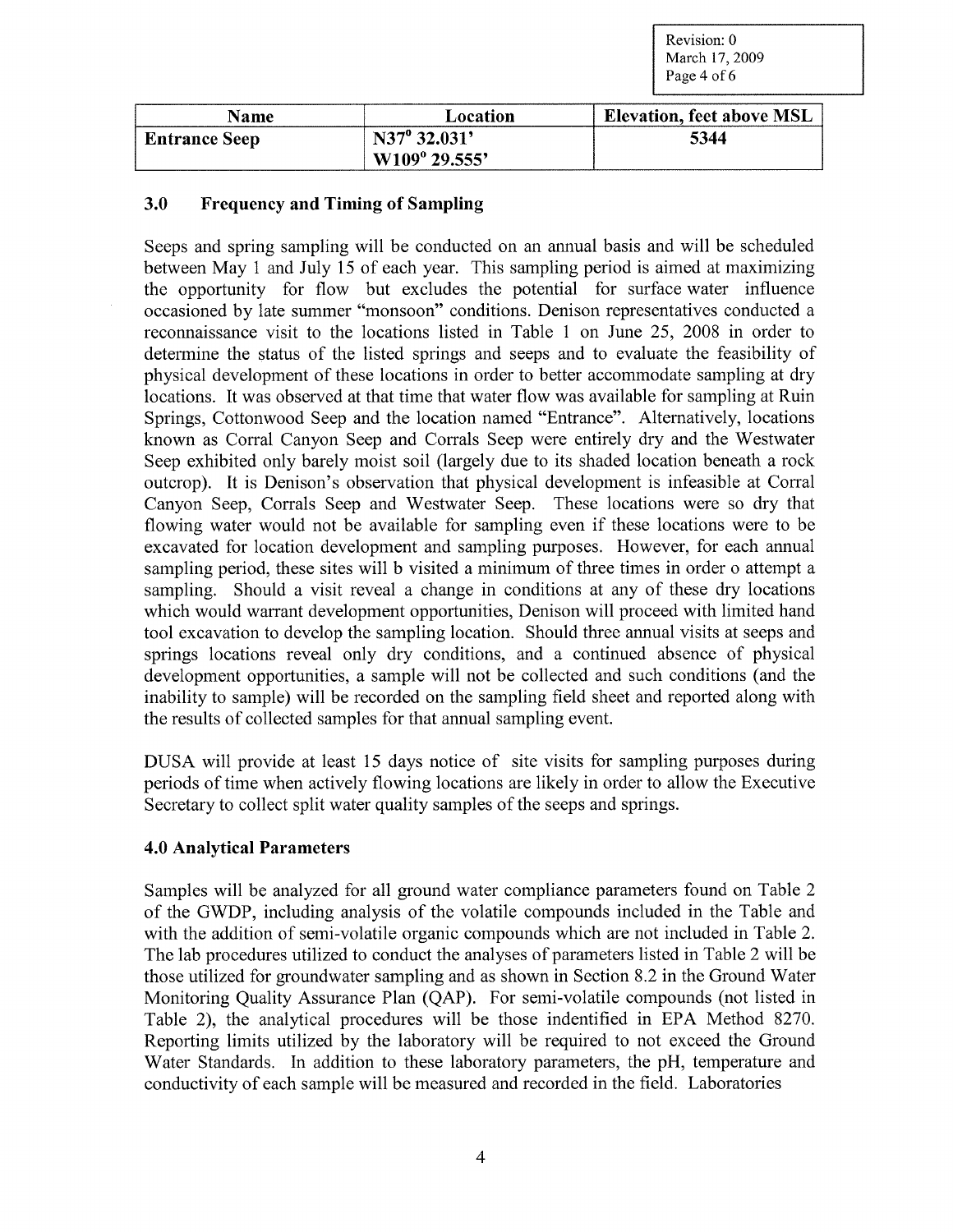Revision: 0 March 17, 2009 Page 4 of 6

| <b>Name</b>          | Location               | Elevation, feet above MSL |
|----------------------|------------------------|---------------------------|
| <b>Entrance Seep</b> | $N37^{\circ} 32.031'$  | 5344                      |
|                      | $W109^{\circ} 29.555'$ |                           |

## **3.0 Frequency and Timing of Sampling**

Seeps and spring sampling will be conducted on an annual basis and will be scheduled between May 1 and July 15 of each year. This sampling period is aimed at maximizing the opportunity for flow but excludes the potential for surface water influence occasioned by late summer "monsoon" conditions. Denison representatives conducted a reconnaissance visit to the locations listed in Table 1 on June 25, 2008 in order to determine the status of the listed springs and seeps and to evaluate the feasibility of physical development of these locations in order to better accommodate sampling at dry locations. It was observed at that time that water flow was available for sampling at Ruin Springs, Cottonwood Seep and the location named "Entrance". Alternatively, locations known as Corral Canyon Seep and Corrals Seep were entirely dry and the Westwater Seep exhibited only barely moist soil (largely due to its shaded location beneath a rock outcrop). It is Denison's observation that physical development is infeasible at Corral Canyon Seep, Corrals Seep and Westwater Seep. These locations were so dry that flowing water would not be available for sampling even if these locations were to be excavated for location development and sampling purposes. However, for each annual sampling period, these sites will b visited a minimum of three times in order o attempt a sampling. Should a visit reveal a change in conditions at any of these dry locations which would warrant development opportunities, Denison will proceed with limited hand tool excavation to develop the sampling location. Should three annual visits at seeps and springs locations reveal only dry conditions, and a continued absence of physical development opportunities, a sample will not be collected and such conditions (and the inability to sample) will be recorded on the sampling field sheet and reported along with the results of collected samples for that annual sampling event.

DUSA will provide at least 15 days notice of site visits for sampling purposes during periods of time when actively flowing locations are likely in order to allow the Executive Secretary to collect split water quality samples of the seeps and springs.

## **4.0 Analytical Parameters**

Samples will be analyzed for all ground water compliance parameters found on Table 2 of the GWDP, including analysis of the volatile compounds included in the Table and with the addition of semi-volatile organic compounds which are not included in Table 2. The lab procedures utilized to conduct the analyses of parameters listed in Table 2 will be those utilized for groundwater sampling and as shown in Section 8.2 in the Ground Water Monitoring Quality Assurance Plan (QAP). For semi-volatile compounds (not listed in Table 2), the analytical procedures will be those indentified in EPA Method 8270. Reporting limits utilized by the laboratory will be required to not exceed the Ground Water Standards. In addition to these laboratory parameters, the pH, temperature and conductivity of each sample will be measured and recorded in the field. Laboratories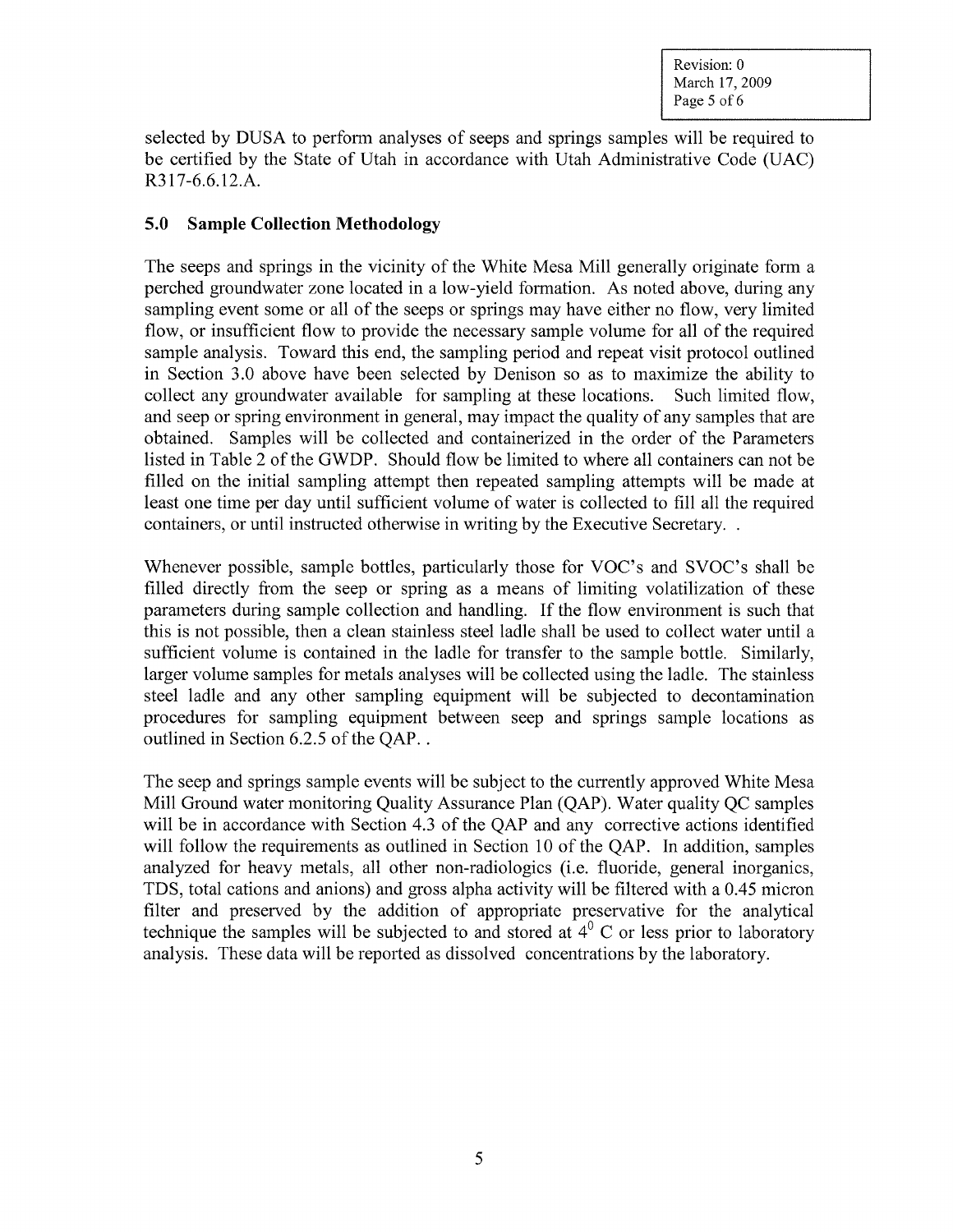selected by DUSA to perform analyses of seeps and springs samples will be required to be certified by the State of Utah in accordance with Utah Administrative Code (UAC) R317 -6.6.12.A.

## **5.0 Sample Collection Methodology**

The seeps and springs in the vicinity of the White Mesa Mill generally originate form a perched groundwater zone located in a low-yield formation. As noted above, during any sampling event some or all of the seeps or springs may have either no flow, very limited flow, or insufficient flow to provide the necessary sample volume for all of the required sample analysis. Toward this end, the sampling period and repeat visit protocol outlined in Section 3.0 above have been selected by Denison so as to maximize the ability to collect any groundwater available for sampling at these locations. Such limited flow, and seep or spring environment in general, may impact the quality of any samples that are obtained. Samples will be collected and containerized in the order of the Parameters listed in Table 2 of the GWDP. Should flow be limited to where all containers can not be filled on the initial sampling attempt then repeated sampling attempts will be made at least one time per day until sufficient volume of water is collected to fill all the required containers, or until instructed otherwise in writing by the Executive Secretary. .

Whenever possible, sample bottles, particularly those for VOC's and SVOC's shall be filled directly from the seep or spring as a means of limiting volatilization of these parameters during sample collection and handling. If the flow environment is such that this is not possible, then a clean stainless steel ladle shall be used to collect water until a sufficient volume is contained in the ladle for transfer to the sample bottle. Similarly, larger volume samples for metals analyses will be collected using the ladle. The stainless steel ladle and any other sampling equipment will be subjected to decontamination procedures for sampling equipment between seep and springs sample locations as outlined in Section 6.2.5 of the OAP...

The seep and springs sample events will be subject to the currently approved White Mesa Mill Ground water monitoring Quality Assurance Plan (QAP). Water quality QC samples will be in accordance with Section 4.3 of the OAP and any corrective actions identified will follow the requirements as outlined in Section 10 of the QAP. In addition, samples analyzed for heavy metals, all other non-radiologies (i.e. fluoride, general inorganics, TDS, total cations and anions) and gross alpha activity will be filtered with a 0.45 micron filter and preserved by the addition of appropriate preservative for the analytical technique the samples will be subjected to and stored at  $4^{\circ}$  C or less prior to laboratory analysis. These data will be reported as dissolved concentrations by the laboratory.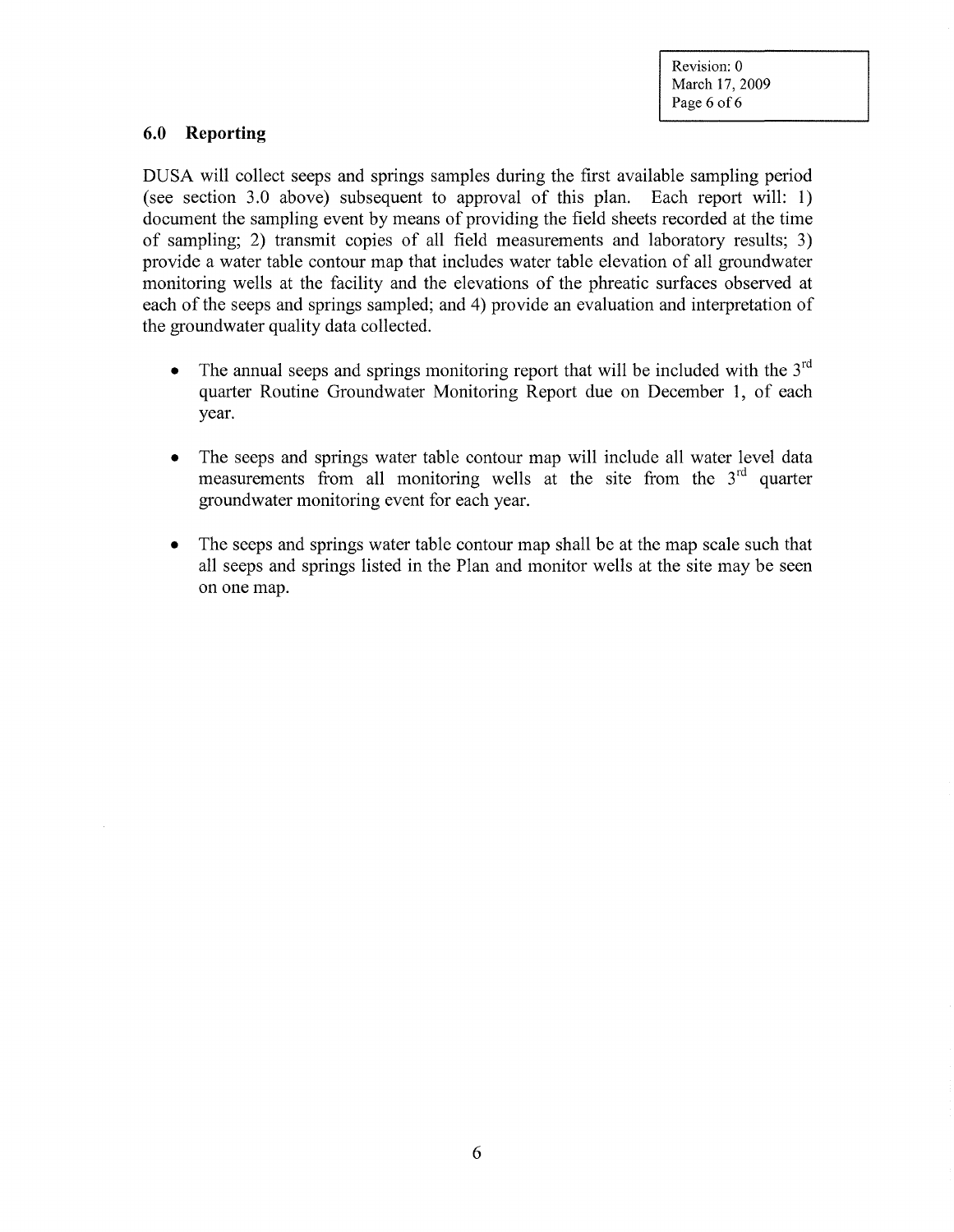Revision: 0 March 17, 2009 Page 6 of 6

## 6.0 **Reporting**

DUSA will collect seeps and springs samples during the first available sampling period (see section 3.0 above) subsequent to approval of this plan. Each report will: 1) document the sampling event by means of providing the field sheets recorded at the time of sampling; 2) transmit copies of all field measurements and laboratory results; 3) provide a water table contour map that includes water table elevation of all groundwater monitoring wells at the facility and the elevations of the phreatic surfaces observed at each of the seeps and springs sampled; and 4) provide an evaluation and interpretation of the groundwater quality data collected.

- The annual seeps and springs monitoring report that will be included with the  $3<sup>rd</sup>$ quarter Routine Groundwater Monitoring Report due on December 1, of each year.
- The seeps and springs water table contour map will include all water level data measurements from all monitoring wells at the site from the  $3<sup>rd</sup>$  quarter groundwater monitoring event for each year.
- The seeps and springs water table contour map shall be at the map scale such that all seeps and springs listed in the Plan and monitor wells at the site may be seen on one map.